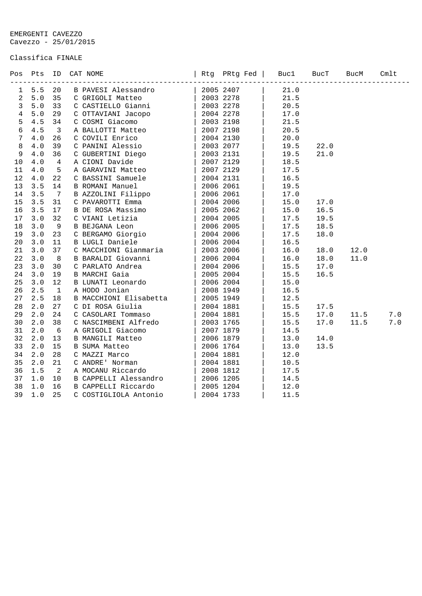EMERGENTI CAVEZZO Cavezzo - 25/01/2015

## Classifica FINALE

|                | Pos Pts | ID           | CAT NOME               | Rtg PRtg Fed | Buc1 | BucT | BucM | Cmlt          |
|----------------|---------|--------------|------------------------|--------------|------|------|------|---------------|
| 1              | 5.5     | 20           | B PAVESI Alessandro    | 2005 2407    | 21.0 |      |      |               |
| $\overline{a}$ | 5.0     | 35           | C GRIGOLI Matteo       | 2003 2278    | 21.5 |      |      |               |
| 3              | $5.0$   | 33           | C CASTIELLO Gianni     | 2003 2278    | 20.5 |      |      |               |
| $\overline{4}$ | $5.0$   | 29           | C OTTAVIANI Jacopo     | 2004 2278    | 17.0 |      |      |               |
| 5              | 4.5     | 34           | C COSMI Giacomo        | 2003 2198    | 21.5 |      |      |               |
| 6              | 4.5     | $\mathbf{3}$ | A BALLOTTI Matteo      | 2007 2198    | 20.5 |      |      |               |
| 7              | 4.0     | 26           | C COVILI Enrico        | 2004 2130    | 20.0 |      |      |               |
| 8              | $4.0\,$ | 39           | C PANINI Alessio       | 2003 2077    | 19.5 | 22.0 |      |               |
| 9              | $4.0$   | 36           | C GUBERTINI Diego      | 2003 2131    | 19.5 | 21.0 |      |               |
| 10             | $4.0$   | 4            | A CIONI Davide         | 2007 2129    | 18.5 |      |      |               |
| 11             | 4.0     | 5            | A GARAVINI Matteo      | 2007 2129    | 17.5 |      |      |               |
| 12             | 4.0     | 22           | C BASSINI Samuele      | 2004 2131    | 16.5 |      |      |               |
| 13             | 3.5     | 14           | <b>B ROMANI Manuel</b> | 2006 2061    | 19.5 |      |      |               |
| 14             | 3.5     | 7            | B AZZOLINI Filippo     | 2006 2061    | 17.0 |      |      |               |
| 15             | 3.5     | 31           | C PAVAROTTI Emma       | 2004 2006    | 15.0 | 17.0 |      |               |
| 16             | 3.5     | 17           | B DE ROSA Massimo      | 2005 2062    | 15.0 | 16.5 |      |               |
| 17             | 3.0     | 32           | C VIANI Letizia        | 2004 2005    | 17.5 | 19.5 |      |               |
| 18             | 3.0     | 9            | B BEJGANA Leon         | 2006 2005    | 17.5 | 18.5 |      |               |
| 19             | 3.0     | 23           | C BERGAMO Giorgio      | 2004 2006    | 17.5 | 18.0 |      |               |
| 20             | 3.0     | 11           | B LUGLI Daniele        | 2006 2004    | 16.5 |      |      |               |
| 21             | 3.0     | 37           | C MACCHIONI Gianmaria  | 2003 2006    | 16.0 | 18.0 | 12.0 |               |
| 22             | 3.0     | 8            | B BARALDI Giovanni     | 2006 2004    | 16.0 | 18.0 | 11.0 |               |
| 23             | 3.0     | 30           | C PARLATO Andrea       | 2004 2006    | 15.5 | 17.0 |      |               |
| 24             | 3.0     | 19           | <b>B MARCHI Gaia</b>   | 2005 2004    | 15.5 | 16.5 |      |               |
| 25             | 3.0     | 12           | B LUNATI Leonardo      | 2006 2004    | 15.0 |      |      |               |
| 26             | 2.5     | $\mathbf{1}$ | A HODO Jonian          | 2008 1949    | 16.5 |      |      |               |
| 27             | 2.5     | 18           | B MACCHIONI Elisabetta | 2005 1949    | 12.5 |      |      |               |
| 28             | 2.0     | 27           | C DI ROSA Giulia       | 2004 1881    | 15.5 | 17.5 |      |               |
| 29             | 2.0     | 24           | C CASOLARI Tommaso     | 2004 1881    | 15.5 | 17.0 | 11.5 | $7.0$         |
| 30             | 2.0     | 38           | C NASCIMBENI Alfredo   | 2003 1765    | 15.5 | 17.0 | 11.5 | $7 \, . \, 0$ |
| 31             | 2.0     | 6            | A GRIGOLI Giacomo      | 2007 1879    | 14.5 |      |      |               |
| 32             | 2.0     | 13           | B MANGILI Matteo       | 2006 1879    | 13.0 | 14.0 |      |               |
| 33             | 2.0     | 15           | B SUMA Matteo          | 2006 1764    | 13.0 | 13.5 |      |               |
| 34             | 2.0     | 28           | C MAZZI Marco          | 2004 1881    | 12.0 |      |      |               |
| 35             | 2.0     | 21           | C ANDRE' Norman        | 2004 1881    | 10.5 |      |      |               |
| 36             | 1.5     | 2            | A MOCANU Riccardo      | 2008 1812    | 17.5 |      |      |               |
| 37             | 1.0     | 10           | B CAPPELLI Alessandro  | 2006 1205    | 14.5 |      |      |               |
| 38             | 1.0     | 16           | B CAPPELLI Riccardo    | 2005 1204    | 12.0 |      |      |               |
| 39             | 1.0     | 25           | C COSTIGLIOLA Antonio  | 2004 1733    | 11.5 |      |      |               |